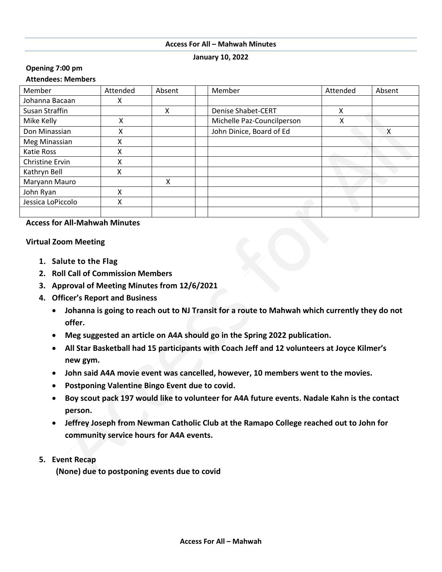#### **Access For All – Mahwah Minutes**

**January 10, 2022**

### **Opening 7:00 pm**

# **Attendees: Members**

| Member            | Attended | Absent | Member                     | Attended | Absent |
|-------------------|----------|--------|----------------------------|----------|--------|
| Johanna Bacaan    | χ        |        |                            |          |        |
| Susan Straffin    |          | X      | <b>Denise Shabet-CERT</b>  | Χ        |        |
| Mike Kelly        | Χ        |        | Michelle Paz-Councilperson | Χ        |        |
| Don Minassian     | Χ        |        | John Dinice, Board of Ed   |          | X      |
| Meg Minassian     | X        |        |                            |          |        |
| <b>Katie Ross</b> | x        |        |                            |          |        |
| Christine Ervin   | x        |        |                            |          |        |
| Kathryn Bell      | Χ        |        |                            |          |        |
| Maryann Mauro     |          | x      |                            |          |        |
| John Ryan         | Χ        |        |                            |          |        |
| Jessica LoPiccolo | X        |        |                            |          |        |
|                   |          |        |                            |          |        |

# **Access for All-Mahwah Minutes**

### **Virtual Zoom Meeting**

- **1. Salute to the Flag**
- **2. Roll Call of Commission Members**
- **3. Approval of Meeting Minutes from 12/6/2021**
- **4. Officer's Report and Business**
	- **Johanna is going to reach out to NJ Transit for a route to Mahwah which currently they do not offer.**
	- **Meg suggested an article on A4A should go in the Spring 2022 publication.**
	- **All Star Basketball had 15 participants with Coach Jeff and 12 volunteers at Joyce Kilmer's new gym.**
	- **John said A4A movie event was cancelled, however, 10 members went to the movies.**
	- **Postponing Valentine Bingo Event due to covid.**
	- **Boy scout pack 197 would like to volunteer for A4A future events. Nadale Kahn is the contact person.**
	- **Jeffrey Joseph from Newman Catholic Club at the Ramapo College reached out to John for community service hours for A4A events.**
- **5. Event Recap**

**(None) due to postponing events due to covid**